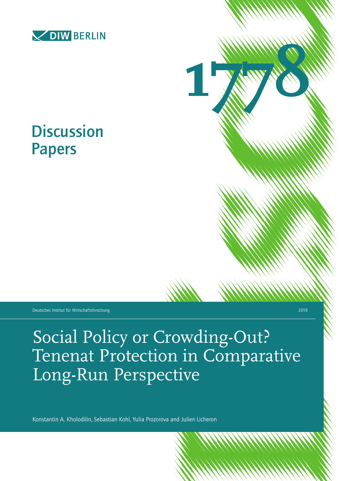



# **Discussion** Papers

Deutsches Institut für Wirtschaftsforschung 2019

Social Policy or Crowding-Out? Tenenat Protection in Comparative Long-Run Perspective

Konstantin A. Kholodilin, Sebastian Kohl, Yulia Prozorova and Julien Licheron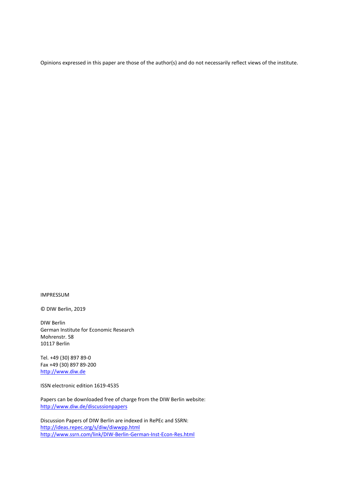Opinions expressed in this paper are those of the author(s) and do not necessarily reflect views of the institute.

IMPRESSUM

© DIW Berlin, 2019

DIW Berlin German Institute for Economic Research Mohrenstr. 58 10117 Berlin

Tel. +49 (30) 897 89-0 Fax +49 (30) 897 89-200 [http://www.diw.de](http://www.diw.de/)

ISSN electronic edition 1619-4535

Papers can be downloaded free of charge from the DIW Berlin website: <http://www.diw.de/discussionpapers>

Discussion Papers of DIW Berlin are indexed in RePEc and SSRN: http://ideas.repec.org/s/diw/diwwpp.html <http://www.ssrn.com/link/DIW-Berlin-German-Inst-Econ-Res.html>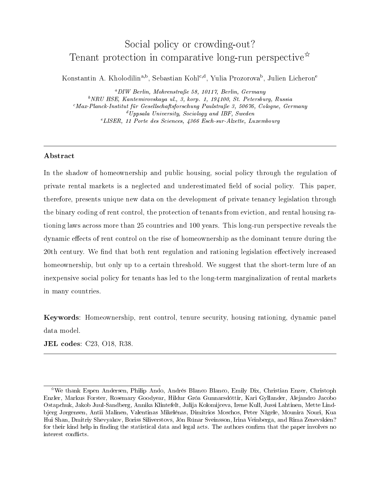# Social policy or crowding-out? Tenant protection in comparative long-run perspective<sup> $\hat{\mathbf{x}}$ </sup>

Konstantin A. Kholodilin<sup>a,b</sup>, Sebastian Kohl<sup>c,d</sup>, Yulia Prozorova<sup>b</sup>, Julien Licheron<sup>e</sup>

<sup>a</sup>DIW Berlin, Mohrenstraße 58, 10117, Berlin, Germany  $b$ NRU HSE, Kantemirovskaya ul., 3, korp. 1, 194100, St. Petersburg, Russia  $^{c}$ Max-Planck-Institut für Gesellschaftsforschung Paulstraße 3, 50676, Cologne, Germany  $d$ Uppsala University, Sociology and IBF, Sweden <sup>e</sup>LISER, 11 Porte des Sciences, 4366 Esch-sur-Alzette, Luxembourg

#### Abstract

In the shadow of homeownership and public housing, social policy through the regulation of private rental markets is a neglected and underestimated field of social policy. This paper, therefore, presents unique new data on the development of private tenancy legislation through the binary coding of rent control, the protection of tenants from eviction, and rental housing rationing laws across more than 25 countries and 100 years. This long-run perspective reveals the dynamic effects of rent control on the rise of homeownership as the dominant tenure during the 20th century. We find that both rent regulation and rationing legislation effectively increased homeownership, but only up to a certain threshold. We suggest that the short-term lure of an inexpensive social policy for tenants has led to the long-term marginalization of rental markets in many countries.

Keywords: Homeownership, rent control, tenure security, housing rationing, dynamic panel data model.

JEL codes: C23, O18, R38.

<sup>✩</sup>We thank Espen Andersen, Philip Ando, Andres Blanco Blanco, Emily Dix, Christian Enzer, Christoph Enzler, Markus Forster, Rosemary Goodyear, Hildur Groa Gunnarsdottir, Kari Gyllander, Alejandro Jacobo Ostapchuk, Jakob Juul-Sandberg, Annika Klintefelt, Julija Kolomijceva, Irene Kull, Jussi Lahtinen, Mette Lindbjerg Jørgensen, Antii Malinen, Valentinas Mikelenas, Dimitrios Moschos, Peter Nagele, Mounira Nouri, Kua Hui Shan, Dmitriy Shevyakov, Boriss Siliverstovs, Jon Runar Sveinsson, Irina Veinberga, and Rima Zenevskien? for their kind help in finding the statistical data and legal acts. The authors confirm that the paper involves no interest conflicts.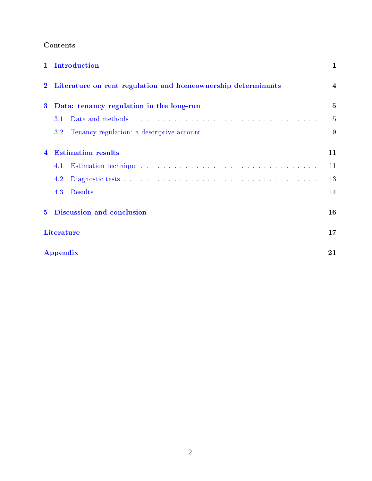### Contents

| $\mathbf{1}$            | Introduction                                                                                                                                                                                                                          | $\mathbf 1$    |
|-------------------------|---------------------------------------------------------------------------------------------------------------------------------------------------------------------------------------------------------------------------------------|----------------|
|                         | Literature on rent regulation and homeownership determinants                                                                                                                                                                          | $\overline{4}$ |
| $\bf{3}$                | Data: tenancy regulation in the long-run                                                                                                                                                                                              | $\overline{5}$ |
|                         | 3.1                                                                                                                                                                                                                                   | -5             |
|                         | Tenancy regulation: a descriptive account enteries and all the set of the set of the set of the set of the set of the set of the set of the set of the set of the set of the set of the set of the set of the set of the set o<br>3.2 | 9              |
| $\overline{\mathbf{4}}$ | <b>Estimation results</b>                                                                                                                                                                                                             | 11             |
|                         | 4.1                                                                                                                                                                                                                                   | -11            |
|                         | 4.2                                                                                                                                                                                                                                   | -13            |
|                         | 4.3                                                                                                                                                                                                                                   | 14             |
| $5^{\circ}$             | Discussion and conclusion                                                                                                                                                                                                             | 16             |
|                         | Literature                                                                                                                                                                                                                            | 17             |
|                         | Appendix                                                                                                                                                                                                                              | 21             |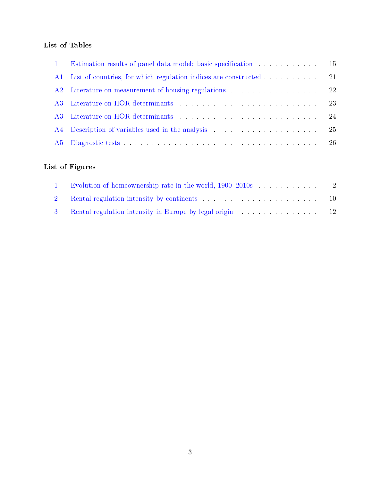### List of Tables

|    | Estimation results of panel data model: basic specification 15                |  |
|----|-------------------------------------------------------------------------------|--|
| AA | List of countries, for which regulation indices are constructed 21            |  |
|    | A2 Literature on measurement of housing regulations 22                        |  |
|    |                                                                               |  |
|    |                                                                               |  |
|    | A4 Description of variables used in the analysis Andrew Barretts and March 25 |  |
|    |                                                                               |  |

### List of Figures

| 1 Evolution of homeownership rate in the world, 1900–2010s 2 |  |
|--------------------------------------------------------------|--|
|                                                              |  |
| 3 Rental regulation intensity in Europe by legal origin 12   |  |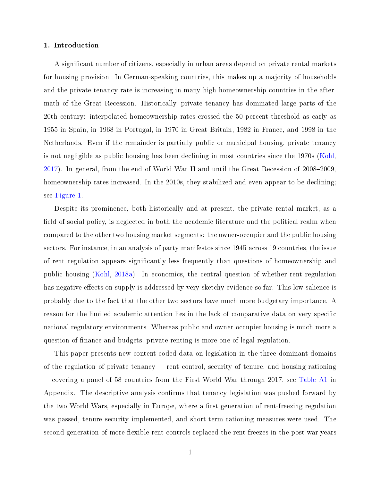#### <span id="page-5-0"></span>1. Introduction

A significant number of citizens, especially in urban areas depend on private rental markets for housing provision. In German-speaking countries, this makes up a majority of households and the private tenancy rate is increasing in many high-homeownership countries in the aftermath of the Great Recession. Historically, private tenancy has dominated large parts of the 20th century: interpolated homeownership rates crossed the 50 percent threshold as early as 1955 in Spain, in 1968 in Portugal, in 1970 in Great Britain, 1982 in France, and 1998 in the Netherlands. Even if the remainder is partially public or municipal housing, private tenancy is not negligible as public housing has been declining in most countries since the 1970s [\(Kohl,](#page-23-0)  $2017$ ). In general, from the end of World War II and until the Great Recession of  $2008-2009$ , homeownership rates increased. In the 2010s, they stabilized and even appear to be declining; see [Figure 1.](#page-6-0)

Despite its prominence, both historically and at present, the private rental market, as a field of social policy, is neglected in both the academic literature and the political realm when compared to the other two housing market segments: the owner-occupier and the public housing sectors. For instance, in an analysis of party manifestos since 1945 across 19 countries, the issue of rent regulation appears signicantly less frequently than questions of homeownership and public housing [\(Kohl,](#page-23-1) [2018a\)](#page-23-1). In economics, the central question of whether rent regulation has negative effects on supply is addressed by very sketchy evidence so far. This low salience is probably due to the fact that the other two sectors have much more budgetary importance. A reason for the limited academic attention lies in the lack of comparative data on very specific national regulatory environments. Whereas public and owner-occupier housing is much more a question of nance and budgets, private renting is more one of legal regulation.

This paper presents new content-coded data on legislation in the three dominant domains of the regulation of private tenancy  $-$  rent control, security of tenure, and housing rationing  $\sim$  covering a panel of 58 countries from the First World War through 2017, see [Table A1](#page-25-1) in Appendix. The descriptive analysis confirms that tenancy legislation was pushed forward by the two World Wars, especially in Europe, where a first generation of rent-freezing regulation was passed, tenure security implemented, and short-term rationing measures were used. The second generation of more flexible rent controls replaced the rent-freezes in the post-war years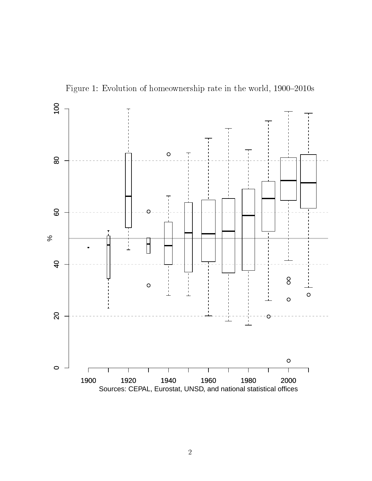<span id="page-6-0"></span>

Figure 1: Evolution of homeownership rate in the world,  $1900-2010s$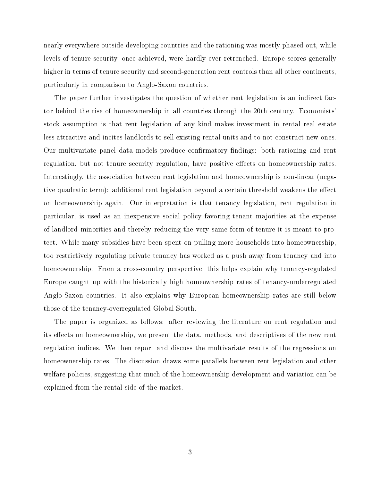nearly everywhere outside developing countries and the rationing was mostly phased out, while levels of tenure security, once achieved, were hardly ever retrenched. Europe scores generally higher in terms of tenure security and second-generation rent controls than all other continents, particularly in comparison to Anglo-Saxon countries.

The paper further investigates the question of whether rent legislation is an indirect factor behind the rise of homeownership in all countries through the 20th century. Economists' stock assumption is that rent legislation of any kind makes investment in rental real estate less attractive and incites landlords to sell existing rental units and to not construct new ones. Our multivariate panel data models produce confirmatory findings: both rationing and rent regulation, but not tenure security regulation, have positive effects on homeownership rates. Interestingly, the association between rent legislation and homeownership is non-linear (negative quadratic term): additional rent legislation beyond a certain threshold weakens the effect on homeownership again. Our interpretation is that tenancy legislation, rent regulation in particular, is used as an inexpensive social policy favoring tenant majorities at the expense of landlord minorities and thereby reducing the very same form of tenure it is meant to protect. While many subsidies have been spent on pulling more households into homeownership, too restrictively regulating private tenancy has worked as a push away from tenancy and into homeownership. From a cross-country perspective, this helps explain why tenancy-regulated Europe caught up with the historically high homeownership rates of tenancy-underregulated Anglo-Saxon countries. It also explains why European homeownership rates are still below those of the tenancy-overregulated Global South.

The paper is organized as follows: after reviewing the literature on rent regulation and its effects on homeownership, we present the data, methods, and descriptives of the new rent regulation indices. We then report and discuss the multivariate results of the regressions on homeownership rates. The discussion draws some parallels between rent legislation and other welfare policies, suggesting that much of the homeownership development and variation can be explained from the rental side of the market.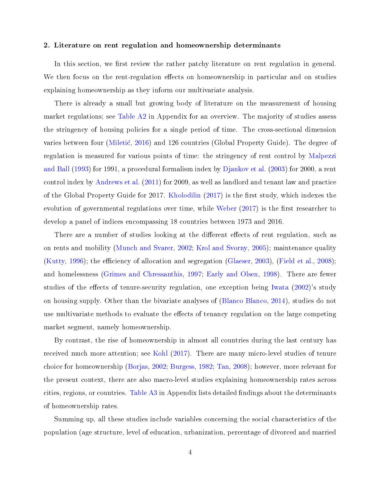#### <span id="page-8-0"></span>2. Literature on rent regulation and homeownership determinants

In this section, we first review the rather patchy literature on rent regulation in general. We then focus on the rent-regulation effects on homeownership in particular and on studies explaining homeownership as they inform our multivariate analysis.

There is already a small but growing body of literature on the measurement of housing market regulations; see [Table A2](#page-26-0) in Appendix for an overview. The majority of studies assess the stringency of housing policies for a single period of time. The cross-sectional dimension varies between four [\(Miletic,](#page-24-0) [2016\)](#page-24-0) and 126 countries (Global Property Guide). The degree of regulation is measured for various points of time: the stringency of rent control by [Malpezzi](#page-24-1) [and Ball](#page-24-1) [\(1993\)](#page-24-1) for 1991, a procedural formalism index by [Djankov et al.](#page-22-0) [\(2003\)](#page-22-0) for 2000, a rent control index by [Andrews et al.](#page-21-1) [\(2011\)](#page-21-1) for 2009, as well as landlord and tenant law and practice of the Global Property Guide for 2017. [Kholodilin](#page-23-2) [\(2017\)](#page-23-2) is the first study, which indexes the evolution of governmental regulations over time, while [Weber](#page-24-2)  $(2017)$  is the first researcher to develop a panel of indices encompassing 18 countries between 1973 and 2016.

There are a number of studies looking at the different effects of rent regulation, such as on rents and mobility [\(Munch and Svarer,](#page-24-3) [2002;](#page-24-3) [Krol and Svorny,](#page-24-4) [2005\)](#page-24-4); maintenance quality [\(Kutty,](#page-24-5) [1996\)](#page-24-5); the efficiency of allocation and segregation [\(Glaeser,](#page-23-3) [2003\)](#page-23-3), [\(Field et al.,](#page-22-1) [2008\)](#page-22-1); and homelessness [\(Grimes and Chressanthis,](#page-23-4) [1997;](#page-23-4) [Early and Olsen,](#page-22-2) [1998\)](#page-22-2). There are fewer studies of the effects of tenure-security regulation, one exception being [Iwata](#page-23-5)  $(2002)$ 's study on housing supply. Other than the bivariate analyses of [\(Blanco Blanco,](#page-21-2) [2014\)](#page-21-2), studies do not use multivariate methods to evaluate the effects of tenancy regulation on the large competing market segment, namely homeownership.

By contrast, the rise of homeownership in almost all countries during the last century has received much more attention; see [Kohl](#page-23-0) [\(2017\)](#page-23-0). There are many micro-level studies of tenure choice for homeownership [\(Borjas,](#page-22-3) [2002;](#page-22-3) [Burgess,](#page-22-4) [1982;](#page-22-4) [Tan,](#page-24-6) [2008\)](#page-24-6); however, more relevant for the present context, there are also macro-level studies explaining homeownership rates across cities, regions, or countries. Table  $A3$  in Appendix lists detailed findings about the determinants of homeownership rates.

Summing up, all these studies include variables concerning the social characteristics of the population (age structure, level of education, urbanization, percentage of divorced and married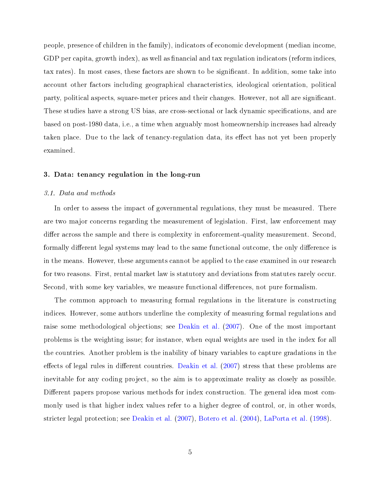people, presence of children in the family), indicators of economic development (median income, GDP per capita, growth index), as well as financial and tax regulation indicators (reform indices, tax rates). In most cases, these factors are shown to be signicant. In addition, some take into account other factors including geographical characteristics, ideological orientation, political party, political aspects, square-meter prices and their changes. However, not all are signicant. These studies have a strong US bias, are cross-sectional or lack dynamic specifications, and are based on post-1980 data, i.e., a time when arguably most homeownership increases had already taken place. Due to the lack of tenancy-regulation data, its effect has not yet been properly examined.

#### <span id="page-9-0"></span>3. Data: tenancy regulation in the long-run

#### <span id="page-9-1"></span>3.1. Data and methods

In order to assess the impact of governmental regulations, they must be measured. There are two major concerns regarding the measurement of legislation. First, law enforcement may differ across the sample and there is complexity in enforcement-quality measurement. Second, formally different legal systems may lead to the same functional outcome, the only difference is in the means. However, these arguments cannot be applied to the case examined in our research for two reasons. First, rental market law is statutory and deviations from statutes rarely occur. Second, with some key variables, we measure functional differences, not pure formalism.

The common approach to measuring formal regulations in the literature is constructing indices. However, some authors underline the complexity of measuring formal regulations and raise some methodological objections; see [Deakin et al.](#page-22-5) [\(2007\)](#page-22-5). One of the most important problems is the weighting issue; for instance, when equal weights are used in the index for all the countries. Another problem is the inability of binary variables to capture gradations in the effects of legal rules in different countries. [Deakin et al.](#page-22-5)  $(2007)$  stress that these problems are inevitable for any coding project, so the aim is to approximate reality as closely as possible. Different papers propose various methods for index construction. The general idea most commonly used is that higher index values refer to a higher degree of control, or, in other words, stricter legal protection; see [Deakin et al.](#page-22-5) [\(2007\)](#page-22-5), [Botero et al.](#page-22-6) [\(2004\)](#page-22-6), [LaPorta et al.](#page-24-7) [\(1998\)](#page-24-7).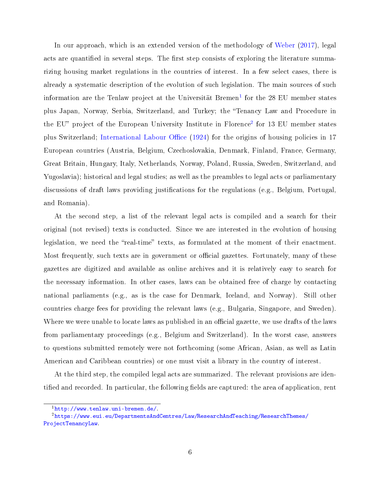In our approach, which is an extended version of the methodology of [Weber](#page-24-2) [\(2017\)](#page-24-2), legal acts are quantified in several steps. The first step consists of exploring the literature summarizing housing market regulations in the countries of interest. In a few select cases, there is already a systematic description of the evolution of such legislation. The main sources of such information are the Tenlaw project at the Universität Bremen $^{\rm l}$  for the 28 EU member states plus Japan, Norway, Serbia, Switzerland, and Turkey; the Tenancy Law and Procedure in the EU" project of the European University Institute in Florence<sup>[2](#page-10-1)</sup> for 13 EU member states plus Switzerland; International Labour Office [\(1924\)](#page-23-6) for the origins of housing policies in 17 European countries (Austria, Belgium, Czechoslovakia, Denmark, Finland, France, Germany, Great Britain, Hungary, Italy, Netherlands, Norway, Poland, Russia, Sweden, Switzerland, and Yugoslavia); historical and legal studies; as well as the preambles to legal acts or parliamentary discussions of draft laws providing justifications for the regulations (e.g., Belgium, Portugal, and Romania).

At the second step, a list of the relevant legal acts is compiled and a search for their original (not revised) texts is conducted. Since we are interested in the evolution of housing legislation, we need the "real-time" texts, as formulated at the moment of their enactment. Most frequently, such texts are in government or official gazettes. Fortunately, many of these gazettes are digitized and available as online archives and it is relatively easy to search for the necessary information. In other cases, laws can be obtained free of charge by contacting national parliaments (e.g., as is the case for Denmark, Iceland, and Norway). Still other countries charge fees for providing the relevant laws (e.g., Bulgaria, Singapore, and Sweden). Where we were unable to locate laws as published in an official gazette, we use drafts of the laws from parliamentary proceedings (e.g., Belgium and Switzerland). In the worst case, answers to questions submitted remotely were not forthcoming (some African, Asian, as well as Latin American and Caribbean countries) or one must visit a library in the country of interest.

At the third step, the compiled legal acts are summarized. The relevant provisions are identified and recorded. In particular, the following fields are captured: the area of application, rent

<span id="page-10-1"></span><span id="page-10-0"></span><sup>1</sup>[http://www.tenlaw.uni-bremen.de/.](http://www.tenlaw.uni-bremen.de/)

<sup>2</sup>[https://www.eui.eu/DepartmentsAndCentres/Law/ResearchAndTeaching/ResearchThemes/](https://www.eui.eu/DepartmentsAndCentres/Law/ResearchAndTeaching/ResearchThemes/ProjectTenancyLaw) [ProjectTenancyLaw.](https://www.eui.eu/DepartmentsAndCentres/Law/ResearchAndTeaching/ResearchThemes/ProjectTenancyLaw)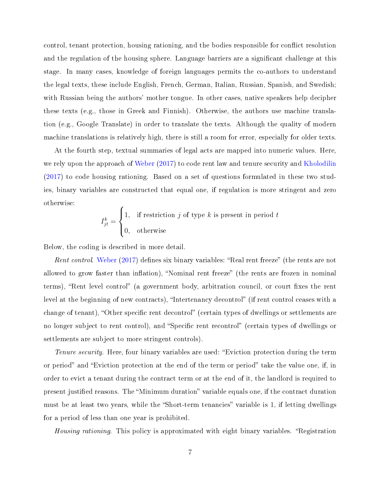control, tenant protection, housing rationing, and the bodies responsible for conflict resolution and the regulation of the housing sphere. Language barriers are a significant challenge at this stage. In many cases, knowledge of foreign languages permits the co-authors to understand the legal texts, these include English, French, German, Italian, Russian, Spanish, and Swedish; with Russian being the authors' mother tongue. In other cases, native speakers help decipher these texts (e.g., those in Greek and Finnish). Otherwise, the authors use machine translation (e.g., Google Translate) in order to translate the texts. Although the quality of modern machine translations is relatively high, there is still a room for error, especially for older texts.

At the fourth step, textual summaries of legal acts are mapped into numeric values. Here, we rely upon the approach of [Weber](#page-24-2) [\(2017\)](#page-24-2) to code rent law and tenure security and [Kholodilin](#page-23-2) [\(2017\)](#page-23-2) to code housing rationing. Based on a set of questions formulated in these two studies, binary variables are constructed that equal one, if regulation is more stringent and zero otherwise:  $\epsilon$ 

$$
I_{jt}^{k} = \begin{cases} 1, & \text{if restriction } j \text{ of type } k \text{ is present in period } t \\ 0, & \text{otherwise} \end{cases}
$$

Below, the coding is described in more detail.

Rent control. [Weber](#page-24-2)  $(2017)$  defines six binary variables: "Real rent freeze" (the rents are not allowed to grow faster than inflation), "Nominal rent freeze" (the rents are frozen in nominal terms), "Rent level control" (a government body, arbitration council, or court fixes the rent level at the beginning of new contracts), "Intertenancy decontrol" (if rent control ceases with a change of tenant), "Other specific rent decontrol" (certain types of dwellings or settlements are no longer subject to rent control), and "Specific rent recontrol" (certain types of dwellings or settlements are subject to more stringent controls).

Tenure security. Here, four binary variables are used: "Eviction protection during the term or period" and "Eviction protection at the end of the term or period" take the value one, if, in order to evict a tenant during the contract term or at the end of it, the landlord is required to present justified reasons. The "Minimum duration" variable equals one, if the contract duration must be at least two years, while the "Short-term tenancies" variable is 1, if letting dwellings for a period of less than one year is prohibited.

*Housing rationing.* This policy is approximated with eight binary variables. "Registration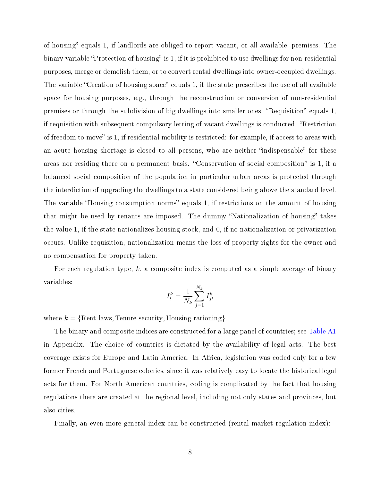of housing" equals 1, if landlords are obliged to report vacant, or all available, premises. The binary variable "Protection of housing" is 1, if it is prohibited to use dwellings for non-residential purposes, merge or demolish them, or to convert rental dwellings into owner-occupied dwellings. The variable "Creation of housing space" equals 1, if the state prescribes the use of all available space for housing purposes, e.g., through the reconstruction or conversion of non-residential premises or through the subdivision of big dwellings into smaller ones. "Requisition" equals 1, if requisition with subsequent compulsory letting of vacant dwellings is conducted. "Restriction" of freedom to move" is 1, if residential mobility is restricted: for example, if access to areas with an acute housing shortage is closed to all persons, who are neither "indispensable" for these areas nor residing there on a permanent basis. "Conservation of social composition" is 1, if a balanced social composition of the population in particular urban areas is protected through the interdiction of upgrading the dwellings to a state considered being above the standard level. The variable "Housing consumption norms" equals 1, if restrictions on the amount of housing that might be used by tenants are imposed. The dummy "Nationalization of housing" takes the value 1, if the state nationalizes housing stock, and 0, if no nationalization or privatization occurs. Unlike requisition, nationalization means the loss of property rights for the owner and no compensation for property taken.

For each regulation type, k, a composite index is computed as a simple average of binary variables:

$$
I_t^k = \frac{1}{N_k} \sum_{j=1}^{N_k} I_{jt}^k
$$

where  $k = \{$  Rent laws, Tenure security, Housing rationing  $\}$ .

The binary and composite indices are constructed for a large panel of countries; see [Table A1](#page-25-1) in Appendix. The choice of countries is dictated by the availability of legal acts. The best coverage exists for Europe and Latin America. In Africa, legislation was coded only for a few former French and Portuguese colonies, since it was relatively easy to locate the historical legal acts for them. For North American countries, coding is complicated by the fact that housing regulations there are created at the regional level, including not only states and provinces, but also cities.

Finally, an even more general index can be constructed (rental market regulation index):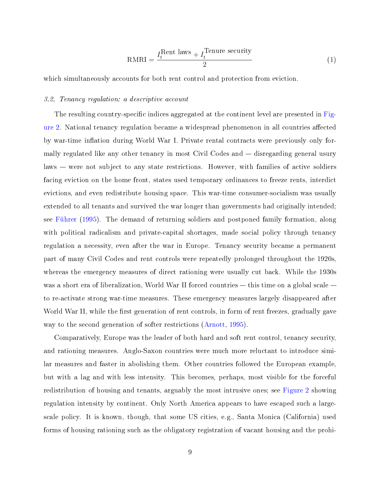$$
RMRI = \frac{I_t^{Rent \text{ laws}} + I_t^{Tenure \text{ security}}}{2} \tag{1}
$$

which simultaneously accounts for both rent control and protection from eviction.

#### <span id="page-13-0"></span>3.2. Tenancy regulation: a descriptive account

The resulting country-specific indices aggregated at the continent level are presented in [Fig](#page-14-0)[ure 2.](#page-14-0) National tenancy regulation became a widespread phenomenon in all countries affected by war-time inflation during World War I. Private rental contracts were previously only formally regulated like any other tenancy in most Civil Codes and  $-$  disregarding general usury  $laws - were not subject to any state restrictions. However, with families of active soldiers$ facing eviction on the home front, states used temporary ordinances to freeze rents, interdict evictions, and even redistribute housing space. This war-time consumer-socialism was usually extended to all tenants and survived the war longer than governments had originally intended; see [Fuhrer](#page-23-7) [\(1995\)](#page-23-7). The demand of returning soldiers and postponed family formation, along with political radicalism and private-capital shortages, made social policy through tenancy regulation a necessity, even after the war in Europe. Tenancy security became a permanent part of many Civil Codes and rent controls were repeatedly prolonged throughout the 1920s, whereas the emergency measures of direct rationing were usually cut back. While the 1930s was a short era of liberalization, World War II forced countries  $-$  this time on a global scale  $$ to re-activate strong war-time measures. These emergency measures largely disappeared after World War II, while the first generation of rent controls, in form of rent freezes, gradually gave way to the second generation of softer restrictions [\(Arnott,](#page-21-3) [1995\)](#page-21-3).

Comparatively, Europe was the leader of both hard and soft rent control, tenancy security, and rationing measures. Anglo-Saxon countries were much more reluctant to introduce similar measures and faster in abolishing them. Other countries followed the European example, but with a lag and with less intensity. This becomes, perhaps, most visible for the forceful redistribution of housing and tenants, arguably the most intrusive ones; see [Figure 2](#page-14-0) showing regulation intensity by continent. Only North America appears to have escaped such a largescale policy. It is known, though, that some US cities, e.g., Santa Monica (California) used forms of housing rationing such as the obligatory registration of vacant housing and the prohi-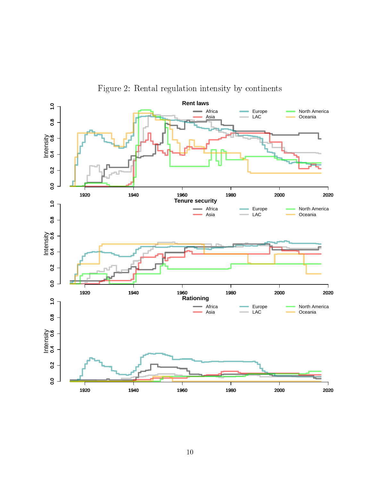<span id="page-14-0"></span>

Figure 2: Rental regulation intensity by continents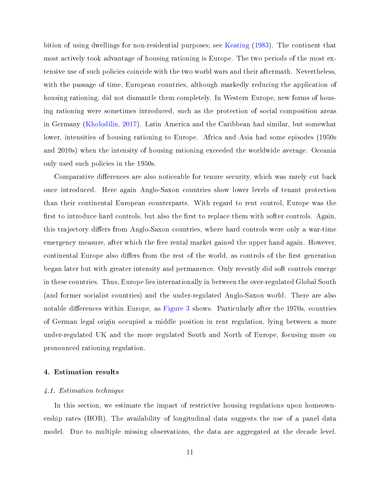bition of using dwellings for non-residential purposes; see [Keating](#page-23-8) [\(1983\)](#page-23-8). The continent that most actively took advantage of housing rationing is Europe. The two periods of the most extensive use of such policies coincide with the two world wars and their aftermath. Nevertheless, with the passage of time, European countries, although markedly reducing the application of housing rationing, did not dismantle them completely. In Western Europe, new forms of housing rationing were sometimes introduced, such as the protection of social composition areas in Germany [\(Kholodilin,](#page-23-2) [2017\)](#page-23-2). Latin America and the Caribbean had similar, but somewhat lower, intensities of housing rationing to Europe. Africa and Asia had some episodes (1950s and 2010s) when the intensity of housing rationing exceeded the worldwide average. Oceania only used such policies in the 1950s.

Comparative differences are also noticeable for tenure security, which was rarely cut back once introduced. Here again Anglo-Saxon countries show lower levels of tenant protection than their continental European counterparts. With regard to rent control, Europe was the first to introduce hard controls, but also the first to replace them with softer controls. Again, this trajectory differs from Anglo-Saxon countries, where hard controls were only a war-time emergency measure, after which the free rental market gained the upper hand again. However, continental Europe also differs from the rest of the world, as controls of the first generation began later but with greater intensity and permanence. Only recently did soft controls emerge in these countries. Thus, Europe lies internationally in between the over-regulated Global South (and former socialist countries) and the under-regulated Anglo-Saxon world. There are also notable differences within Europe, as [Figure 3](#page-16-0) shows. Particularly after the 1970s, countries of German legal origin occupied a middle position in rent regulation, lying between a more under-regulated UK and the more regulated South and North of Europe, focusing more on pronounced rationing regulation.

#### <span id="page-15-0"></span>4. Estimation results

#### <span id="page-15-1"></span>4.1. Estimation technique

In this section, we estimate the impact of restrictive housing regulations upon homeownership rates (HOR). The availability of longitudinal data suggests the use of a panel data model. Due to multiple missing observations, the data are aggregated at the decade level.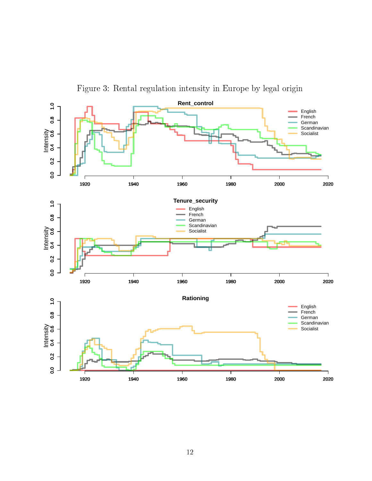<span id="page-16-0"></span>

Figure 3: Rental regulation intensity in Europe by legal origin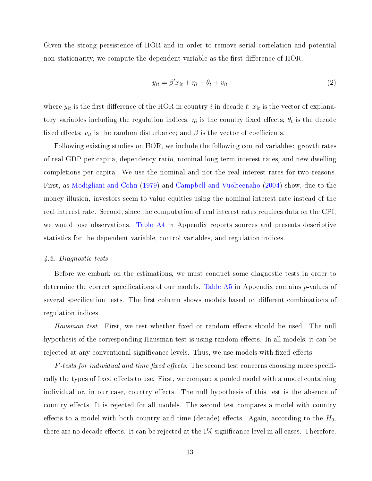Given the strong persistence of HOR and in order to remove serial correlation and potential non-stationarity, we compute the dependent variable as the first difference of HOR.

$$
y_{it} = \beta' x_{it} + \eta_i + \theta_t + v_{it}
$$
\n<sup>(2)</sup>

where  $y_{it}$  is the first difference of the HOR in country i in decade t;  $x_{it}$  is the vector of explanatory variables including the regulation indices;  $\eta_i$  is the country fixed effects;  $\theta_t$  is the decade fixed effects;  $v_{it}$  is the random disturbance; and  $\beta$  is the vector of coefficients.

Following existing studies on HOR, we include the following control variables: growth rates of real GDP per capita, dependency ratio, nominal long-term interest rates, and new dwelling completions per capita. We use the nominal and not the real interest rates for two reasons. First, as [Modigliani and Cohn](#page-24-8) [\(1979\)](#page-24-8) and [Campbell and Vuolteenaho](#page-22-7) [\(2004\)](#page-22-7) show, due to the money illusion, investors seem to value equities using the nominal interest rate instead of the real interest rate. Second, since the computation of real interest rates requires data on the CPI, we would lose observations. [Table A4](#page-29-0) in Appendix reports sources and presents descriptive statistics for the dependent variable, control variables, and regulation indices.

#### <span id="page-17-0"></span>4.2. Diagnostic tests

Before we embark on the estimations, we must conduct some diagnostic tests in order to determine the correct specifications of our models. Table  $A5$  in Appendix contains  $p$ -values of several specification tests. The first column shows models based on different combinations of regulation indices.

Hausman test. First, we test whether fixed or random effects should be used. The null hypothesis of the corresponding Hausman test is using random effects. In all models, it can be rejected at any conventional significance levels. Thus, we use models with fixed effects.

 $F$ -tests for individual and time fixed effects. The second test concerns choosing more specifically the types of fixed effects to use. First, we compare a pooled model with a model containing individual or, in our case, country effects. The null hypothesis of this test is the absence of country effects. It is rejected for all models. The second test compares a model with country effects to a model with both country and time (decade) effects. Again, according to the  $H_0$ , there are no decade effects. It can be rejected at the  $1\%$  significance level in all cases. Therefore,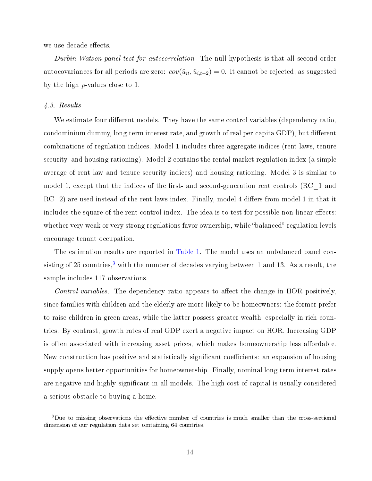we use decade effects.

Durbin-Watson panel test for autocorrelation. The null hypothesis is that all second-order autocovariances for all periods are zero:  $cov(\hat{u}_{it}, \hat{u}_{i,t-2}) = 0$ . It cannot be rejected, as suggested by the high  $p$ -values close to 1.

#### <span id="page-18-0"></span>4.3. Results

We estimate four different models. They have the same control variables (dependency ratio, condominium dummy, long-term interest rate, and growth of real per-capita GDP), but different combinations of regulation indices. Model 1 includes three aggregate indices (rent laws, tenure security, and housing rationing). Model 2 contains the rental market regulation index (a simple average of rent law and tenure security indices) and housing rationing. Model 3 is similar to model 1, except that the indices of the first- and second-generation rent controls  $(RC_1$  and  $RC_2$ ) are used instead of the rent laws index. Finally, model 4 differs from model 1 in that it includes the square of the rent control index. The idea is to test for possible non-linear effects: whether very weak or very strong regulations favor ownership, while "balanced" regulation levels encourage tenant occupation.

The estimation results are reported in [Table 1.](#page-19-0) The model uses an unbalanced panel con-sisting of 25 countries,<sup>[3](#page-18-1)</sup> with the number of decades varying between 1 and 13. As a result, the sample includes 117 observations.

Control variables. The dependency ratio appears to affect the change in HOR positively, since families with children and the elderly are more likely to be homeowners: the former prefer to raise children in green areas, while the latter possess greater wealth, especially in rich countries. By contrast, growth rates of real GDP exert a negative impact on HOR. Increasing GDP is often associated with increasing asset prices, which makes homeownership less affordable. New construction has positive and statistically significant coefficients: an expansion of housing supply opens better opportunities for homeownership. Finally, nominal long-term interest rates are negative and highly significant in all models. The high cost of capital is usually considered a serious obstacle to buying a home.

<span id="page-18-1"></span><sup>&</sup>lt;sup>3</sup>Due to missing observations the effective number of countries is much smaller than the cross-sectional dimension of our regulation data set containing 64 countries.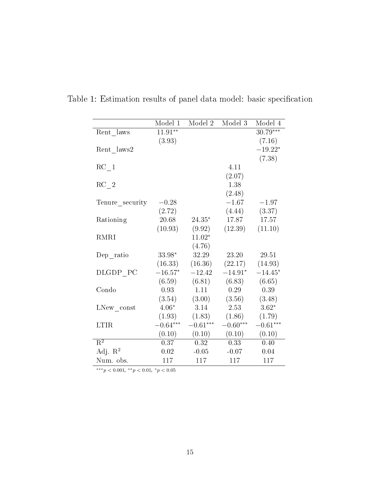|                     | Model 1    | Model 2    | Model 3             | Model 4    |
|---------------------|------------|------------|---------------------|------------|
|                     | $11.91**$  |            |                     |            |
| Rent laws           |            |            |                     | $30.79***$ |
|                     | (3.93)     |            |                     | (7.16)     |
| Rent laws2          |            |            |                     | $-19.22*$  |
|                     |            |            |                     | (7.38)     |
| RC <sub>1</sub>     |            |            | 4.11                |            |
|                     |            |            | (2.07)              |            |
| $RC_2$              |            |            | 1.38                |            |
|                     |            |            | (2.48)              |            |
| Tenure security     | $-0.28$    |            | $-1.67$             | $-1.97$    |
|                     | (2.72)     |            | (4.44)              | (3.37)     |
| Rationing           | 20.68      | $24.35*$   | 17.87               | 17.57      |
|                     | (10.93)    | (9.92)     | (12.39)             | (11.10)    |
| <b>RMRI</b>         |            | $11.02*$   |                     |            |
|                     |            | (4.76)     |                     |            |
|                     | 33.98*     | 32.29      | 23.20               | 29.51      |
| $Dep\_ratio$        |            |            |                     |            |
|                     | (16.33)    | (16.36)    | $(22.17)$ $(14.93)$ |            |
| DLGDP PC            | $-16.57*$  | $-12.42$   | $-14.91*$           | $-14.45*$  |
|                     | (6.59)     | (6.81)     | (6.83)              | (6.65)     |
| Condo               | 0.93       | 1.11       | 0.29                | 0.39       |
|                     | (3.54)     | (3.00)     | (3.56)              | (3.48)     |
| LNew const          | $4.06*$    | $3.14\,$   | 2.53                | $3.62*$    |
|                     | (1.93)     | (1.83)     | (1.86)              | (1.79)     |
| <b>LTIR</b>         | $-0.64***$ | $-0.61***$ | $-0.60***$          | $-0.61***$ |
|                     | (0.10)     | (0.10)     | (0.10)              | (0.10)     |
| $R^2$               | 0.37       | 0.32       | 0.33                | 0.40       |
| Adj. $\mathbb{R}^2$ | 0.02       | $-0.05$    | $-0.07$             | 0.04       |
| Num. obs.           | 117        | 117        | 117                 | 117        |

<span id="page-19-0"></span>Table 1: Estimation results of panel data model: basic specification

\*\*\* $p < 0.001,$ \*\* $p < 0.01,$ \* $p < 0.05$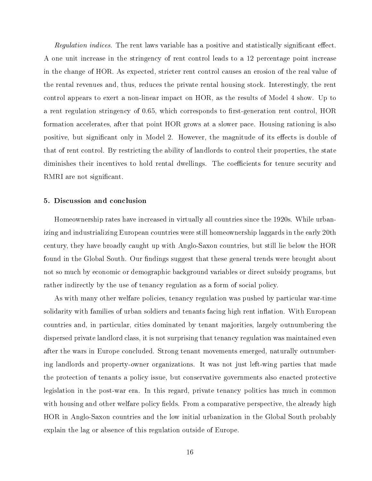Regulation indices. The rent laws variable has a positive and statistically significant effect. A one unit increase in the stringency of rent control leads to a 12 percentage point increase in the change of HOR. As expected, stricter rent control causes an erosion of the real value of the rental revenues and, thus, reduces the private rental housing stock. Interestingly, the rent control appears to exert a non-linear impact on HOR, as the results of Model 4 show. Up to a rent regulation stringency of  $0.65$ , which corresponds to first-generation rent control, HOR formation accelerates, after that point HOR grows at a slower pace. Housing rationing is also positive, but significant only in Model 2. However, the magnitude of its effects is double of that of rent control. By restricting the ability of landlords to control their properties, the state diminishes their incentives to hold rental dwellings. The coefficients for tenure security and RMRI are not significant.

#### <span id="page-20-0"></span>5. Discussion and conclusion

Homeownership rates have increased in virtually all countries since the 1920s. While urbanizing and industrializing European countries were still homeownership laggards in the early 20th century, they have broadly caught up with Anglo-Saxon countries, but still lie below the HOR found in the Global South. Our findings suggest that these general trends were brought about not so much by economic or demographic background variables or direct subsidy programs, but rather indirectly by the use of tenancy regulation as a form of social policy.

As with many other welfare policies, tenancy regulation was pushed by particular war-time solidarity with families of urban soldiers and tenants facing high rent inflation. With European countries and, in particular, cities dominated by tenant majorities, largely outnumbering the dispersed private landlord class, it is not surprising that tenancy regulation was maintained even after the wars in Europe concluded. Strong tenant movements emerged, naturally outnumbering landlords and property-owner organizations. It was not just left-wing parties that made the protection of tenants a policy issue, but conservative governments also enacted protective legislation in the post-war era. In this regard, private tenancy politics has much in common with housing and other welfare policy fields. From a comparative perspective, the already high HOR in Anglo-Saxon countries and the low initial urbanization in the Global South probably explain the lag or absence of this regulation outside of Europe.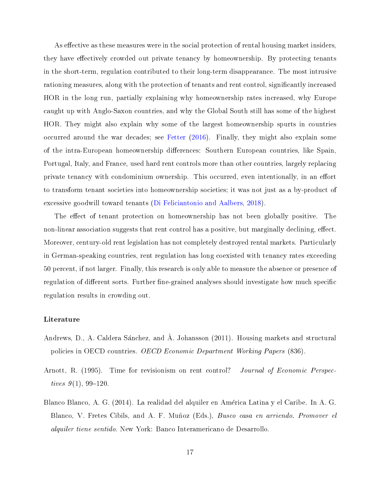As effective as these measures were in the social protection of rental housing market insiders, they have effectively crowded out private tenancy by homeownership. By protecting tenants in the short-term, regulation contributed to their long-term disappearance. The most intrusive rationing measures, along with the protection of tenants and rent control, significantly increased HOR in the long run, partially explaining why homeownership rates increased, why Europe caught up with Anglo-Saxon countries, and why the Global South still has some of the highest HOR. They might also explain why some of the largest homeownership spurts in countries occurred around the war decades; see [Fetter](#page-22-8) [\(2016\)](#page-22-8). Finally, they might also explain some of the intra-European homeownership differences: Southern European countries, like Spain, Portugal, Italy, and France, used hard rent controls more than other countries, largely replacing private tenancy with condominium ownership. This occurred, even intentionally, in an effort to transform tenant societies into homeownership societies; it was not just as a by-product of excessive goodwill toward tenants [\(Di Feliciantonio and Aalbers,](#page-22-9) [2018\)](#page-22-9).

The effect of tenant protection on homeownership has not been globally positive. The non-linear association suggests that rent control has a positive, but marginally declining, effect. Moreover, century-old rent legislation has not completely destroyed rental markets. Particularly in German-speaking countries, rent regulation has long coexisted with tenancy rates exceeding 50 percent, if not larger. Finally, this research is only able to measure the absence or presence of regulation of different sorts. Further fine-grained analyses should investigate how much specific regulation results in crowding out.

#### <span id="page-21-0"></span>Literature

- <span id="page-21-1"></span>Andrews, D., A. Caldera Sanchez, and A. Johansson (2011). Housing markets and structural policies in OECD countries. OECD Economic Department Working Papers (836).
- <span id="page-21-3"></span>Arnott, R. (1995). Time for revisionism on rent control? Journal of Economic Perspectives  $9(1)$ , 99-120.
- <span id="page-21-2"></span>Blanco Blanco, A. G. (2014). La realidad del alquiler en America Latina y el Caribe. In A. G. Blanco, V. Fretes Cibils, and A. F. Muñoz (Eds.), *Busco casa en arriendo. Promover el* alquiler tiene sentido. New York: Banco Interamericano de Desarrollo.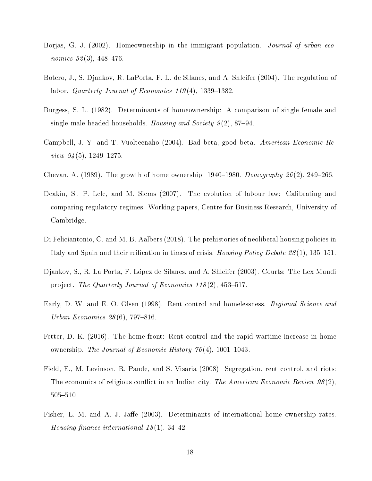- <span id="page-22-3"></span>Borjas, G. J. (2002). Homeownership in the immigrant population. *Journal of urban eco*nomics  $52(3)$ , 448-476.
- <span id="page-22-6"></span>Botero, J., S. Djankov, R. LaPorta, F. L. de Silanes, and A. Shleifer (2004). The regulation of labor. Quarterly Journal of Economics  $119(4)$ , 1339–1382.
- <span id="page-22-4"></span>Burgess, S. L. (1982). Determinants of homeownership: A comparison of single female and single male headed households. Housing and Society  $9(2)$ , 87-94.
- <span id="page-22-7"></span>Campbell, J. Y. and T. Vuolteenaho (2004). Bad beta, good beta. American Economic Review  $94(5)$ , 1249-1275.
- <span id="page-22-10"></span>Chevan, A. (1989). The growth of home ownership:  $1940-1980$ . Demography  $26(2)$ , 249-266.
- <span id="page-22-5"></span>Deakin, S., P. Lele, and M. Siems (2007). The evolution of labour law: Calibrating and comparing regulatory regimes. Working papers, Centre for Business Research, University of Cambridge.
- <span id="page-22-9"></span>Di Feliciantonio, C. and M. B. Aalbers (2018). The prehistories of neoliberal housing policies in Italy and Spain and their reification in times of crisis. *Housing Policy Debate 28*(1), 135–151.
- <span id="page-22-0"></span>Djankov, S., R. La Porta, F. Lopez de Silanes, and A. Shleifer (2003). Courts: The Lex Mundi project. The Quarterly Journal of Economics  $118(2)$ , 453-517.
- <span id="page-22-2"></span>Early, D. W. and E. O. Olsen (1998). Rent control and homelessness. Regional Science and Urban Economics  $28(6)$ , 797-816.
- <span id="page-22-8"></span>Fetter, D. K. (2016). The home front: Rent control and the rapid wartime increase in home ownership. The Journal of Economic History  $76(4)$ , 1001-1043.
- <span id="page-22-1"></span>Field, E., M. Levinson, R. Pande, and S. Visaria (2008). Segregation, rent control, and riots: The economics of religious conflict in an Indian city. The American Economic Review  $98(2)$ , 505510.
- <span id="page-22-11"></span>Fisher, L. M. and A. J. Jaffe (2003). Determinants of international home ownership rates. Housing finance international  $18(1)$ , 34-42.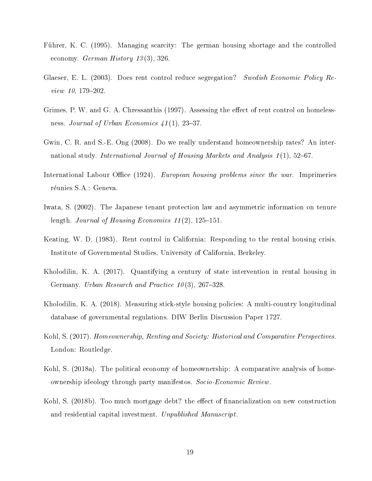- <span id="page-23-7"></span>Fuhrer, K. C. (1995). Managing scarcity: The german housing shortage and the controlled economy. German History  $13(3)$ , 326.
- <span id="page-23-3"></span>Glaeser, E. L. (2003). Does rent control reduce segregation? Swedish Economic Policy Review  $10, 179 - 202$ .
- <span id="page-23-4"></span>Grimes, P. W. and G. A. Chressanthis (1997). Assessing the effect of rent control on homelessness. Journal of Urban Economics  $41(1)$ , 23-37.
- <span id="page-23-10"></span>Gwin, C. R. and S.-E. Ong (2008). Do we really understand homeownership rates? An international study. International Journal of Housing Markets and Analysis  $1(1)$ , 52–67.
- <span id="page-23-6"></span>International Labour Office (1924). European housing problems since the war. Imprimeries réunies S.A.: Geneva.
- <span id="page-23-5"></span>Iwata, S. (2002). The Japanese tenant protection law and asymmetric information on tenure length. Journal of Housing Economics  $11(2)$ , 125-151.
- <span id="page-23-8"></span>Keating, W. D. (1983). Rent control in California: Responding to the rental housing crisis. Institute of Governmental Studies, University of California, Berkeley.
- <span id="page-23-2"></span>Kholodilin, K. A. (2017). Quantifying a century of state intervention in rental housing in Germany. Urban Research and Practice  $10(3)$ , 267–328.
- <span id="page-23-9"></span>Kholodilin, K. A. (2018). Measuring stick-style housing policies: A multi-country longitudinal database of governmental regulations. DIW Berlin Discussion Paper 1727.
- <span id="page-23-0"></span>Kohl, S. (2017). Homeownership, Renting and Society: Historical and Comparative Perspectives. London: Routledge.
- <span id="page-23-1"></span>Kohl, S. (2018a). The political economy of homeownership: A comparative analysis of homeownership ideology through party manifestos. Socio-Economic Review.
- <span id="page-23-11"></span>Kohl, S. (2018b). Too much mortgage debt? the effect of financialization on new construction and residential capital investment. Unpublished Manuscript.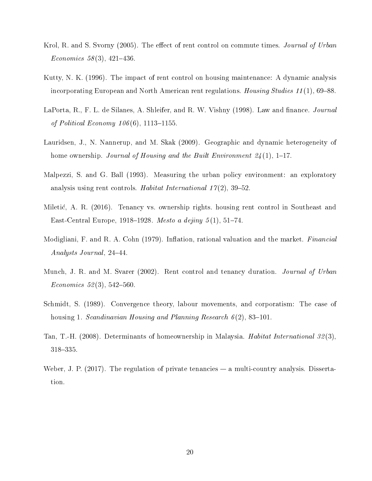- <span id="page-24-4"></span>Krol, R. and S. Svorny (2005). The effect of rent control on commute times. Journal of Urban Economics 58(3), 421-436.
- <span id="page-24-5"></span>Kutty, N. K. (1996). The impact of rent control on housing maintenance: A dynamic analysis incorporating European and North American rent regulations. Housing Studies 11(1), 69–88.
- <span id="page-24-7"></span>LaPorta, R., F. L. de Silanes, A. Shleifer, and R. W. Vishny (1998). Law and finance. *Journal* of Political Economy  $106(6)$ , 1113-1155.
- <span id="page-24-9"></span>Lauridsen, J., N. Nannerup, and M. Skak (2009). Geographic and dynamic heterogeneity of home ownership. Journal of Housing and the Built Environment  $24(1)$ , 1–17.
- <span id="page-24-1"></span>Malpezzi, S. and G. Ball (1993). Measuring the urban policy environment: an exploratory analysis using rent controls. Habitat International  $17(2)$ , 39-52.
- <span id="page-24-0"></span>Miletic, A. R. (2016). Tenancy vs. ownership rights. housing rent control in Southeast and East-Central Europe, 1918–1928. Mesto a dejiny  $5(1)$ , 51–74.
- <span id="page-24-8"></span>Modigliani, F. and R. A. Cohn (1979). Inflation, rational valuation and the market. Financial Analysts Journal, 24–44.
- <span id="page-24-3"></span>Munch, J. R. and M. Svarer (2002). Rent control and tenancy duration. Journal of Urban  $Economics 52(3), 542-560.$
- <span id="page-24-10"></span>Schmidt, S. (1989). Convergence theory, labour movements, and corporatism: The case of housing 1. Scandinavian Housing and Planning Research  $6(2)$ , 83–101.
- <span id="page-24-6"></span>Tan, T.-H. (2008). Determinants of homeownership in Malaysia. Habitat International 32 (3), 318-335.
- <span id="page-24-2"></span>Weber, J. P.  $(2017)$ . The regulation of private tenancies  $-$  a multi-country analysis. Dissertation.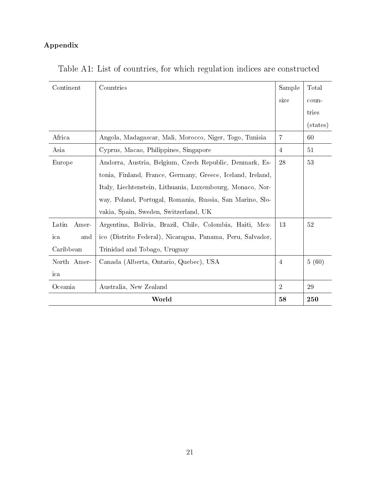### <span id="page-25-0"></span>Appendix

| Continent      | Countries                                                  | Sample         | Total             |
|----------------|------------------------------------------------------------|----------------|-------------------|
|                |                                                            | size           | coun-             |
|                |                                                            |                | tries             |
|                |                                                            |                | (s <sub>t</sub> ) |
| Africa         | Angola, Madagascar, Mali, Morocco, Niger, Togo, Tunisia    | $\overline{7}$ | 60                |
| Asia           | Cyprus, Macao, Philippines, Singapore                      | $\overline{4}$ | 51                |
| Europe         | Andorra, Austria, Belgium, Czech Republic, Denmark, Es-    | 28             | 53                |
|                | tonia, Finland, France, Germany, Greece, Iceland, Ireland, |                |                   |
|                | Italy, Liechtenstein, Lithuania, Luxembourg, Monaco, Nor-  |                |                   |
|                | way, Poland, Portugal, Romania, Russia, San Marino, Slo-   |                |                   |
|                | vakia, Spain, Sweden, Switzerland, UK                      |                |                   |
| Latin<br>Amer- | Argentina, Bolivia, Brazil, Chile, Colombia, Haiti, Mex-   | 13             | 52                |
| ica<br>and     | ico (Distrito Federal), Nicaragua, Panama, Peru, Salvador, |                |                   |
| Caribbean      | Trinidad and Tobago, Uruguay                               |                |                   |
| North Amer-    | Canada (Alberta, Ontario, Quebec), USA                     | 4              | 5(60)             |
| ica            |                                                            |                |                   |
| Oceania        | Australia, New Zealand                                     | $\overline{2}$ | 29                |
|                | World                                                      | 58             | 250               |

<span id="page-25-1"></span>Table A1: List of countries, for which regulation indices are constructed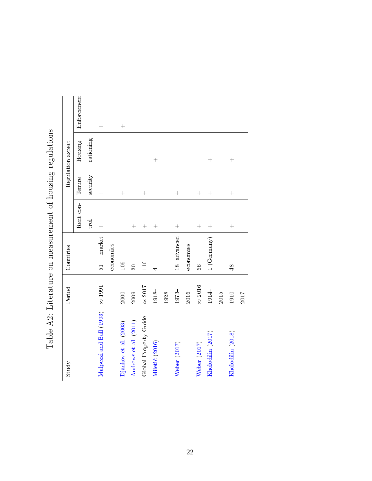| Study                    | Period         | Countries               |           |                    | Regulation aspect |             |
|--------------------------|----------------|-------------------------|-----------|--------------------|-------------------|-------------|
|                          |                |                         | Rent con- | Tenure             | Housing           | Enforcement |
|                          |                |                         | trol      | security           | rationing         |             |
| Malpezzi and Ball (1993) | $\approx 1991$ | market<br>$\frac{1}{2}$ | $^{+}$    | $^{+}$             |                   | $^{+}$      |
|                          |                | economies               |           |                    |                   |             |
| Djankov et al. (2003)    | 2000           | 109                     |           | $^{+}$             |                   | $^{+}$      |
| Andrews et al. (2011)    | 2009           | $\overline{30}$         | $^{+}$    |                    |                   |             |
| Global Property Guide    | $\approx 2017$ | 116                     | $^{+}$    | $^{+}$             |                   |             |
| Miletić (2016)           | $1918 -$       |                         | $^{+}$    |                    | $^{+}$            |             |
|                          | 1928           |                         |           |                    |                   |             |
| Weber (2017)             | $1973 -$       | 18 advanced             | $^{+}$    | $^{+}$             |                   |             |
|                          | 2016           | economies               |           |                    |                   |             |
| Weber (2017)             | $\approx 2016$ | $\mathcal{S}^{\circ}$   | $^{+}$    | $^{+}$             |                   |             |
| Kholodilin (2017)        | $1914-$        | 1 (Germany)             | $^{+}$    | $^{+}$             | $^{+}$            |             |
|                          | 2015           |                         |           |                    |                   |             |
| Kholodilin (2018)        | $1910-$        | $\frac{48}{5}$          | $^{+}$    | $\hspace{0.1mm} +$ | $^{+}$            |             |
|                          | 2017           |                         |           |                    |                   |             |

<span id="page-26-0"></span>Table A2: Literature on measurement of housing regulations Table A2: Literature on measurement of housing regulations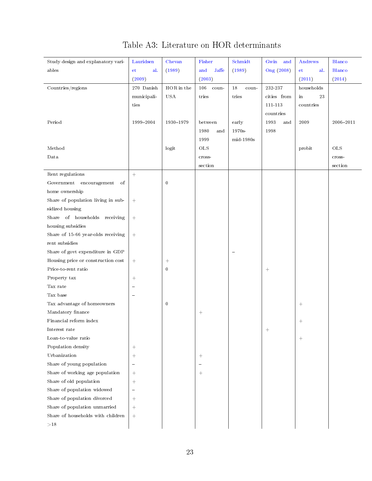<span id="page-27-0"></span>

| Study design and explanatory vari- | Lauridsen                | Chevan             | Fisher          | Schmidt     | Gwin and                         | Andrews    | Blanco       |
|------------------------------------|--------------------------|--------------------|-----------------|-------------|----------------------------------|------------|--------------|
| ables                              | et<br>al.                | (1989)             | and<br>Jaffe    | (1989)      | Ong (2008)                       | et<br>al.  | Blanco       |
|                                    | (2009)                   |                    | (2003)          |             |                                  | (2011)     | (2014)       |
| Countries/regions                  | $270\,$ Danish           | ${\rm HOR}$ in the | 106<br>coun-    | 18<br>coun- | 232-237                          | households |              |
|                                    | municipali-              | <b>USA</b>         | tries           | tries       | cities from                      | 23<br>in   |              |
|                                    | ties                     |                    |                 |             | 111-113                          | countries  |              |
|                                    |                          |                    |                 |             | countries                        |            |              |
| Period                             | 1999-2004                | 1930-1979          | between         | early       | 1993<br>and                      | 2009       | 2006-2011    |
|                                    |                          |                    | 1980<br>and     | 1970s-      | 1998                             |            |              |
|                                    |                          |                    | 1999            | mid-1980s   |                                  |            |              |
| Method                             |                          | logit              | $_{\rm OLS}$    |             |                                  | probit     | $_{\rm OLS}$ |
| Data                               |                          |                    | cross-          |             |                                  |            | cross-       |
|                                    |                          |                    | section         |             |                                  |            | section      |
| Rent regulations                   | $+$                      |                    |                 |             |                                  |            |              |
| Government<br>encouragement<br>of  |                          | $\bf{0}$           |                 |             |                                  |            |              |
| home ownership                     |                          |                    |                 |             |                                  |            |              |
| Share of population living in sub- |                          |                    |                 |             |                                  |            |              |
| sidized housing                    |                          |                    |                 |             |                                  |            |              |
| Share of households receiving      | $\pm$                    |                    |                 |             |                                  |            |              |
| housing subsidies                  |                          |                    |                 |             |                                  |            |              |
| Share of 15-66 year-olds receiving | $+$                      |                    |                 |             |                                  |            |              |
| rent subsidies                     |                          |                    |                 |             |                                  |            |              |
| Share of govt expenditure in GDP   |                          |                    |                 | $\sim$      |                                  |            |              |
| Housing price or construction cost | $\boldsymbol{+}$         | $^{+}$             |                 |             |                                  |            |              |
| Price-to-rent ratio                |                          | $\mathbf{0}$       |                 |             | $\begin{array}{c} + \end{array}$ |            |              |
| Property tax                       |                          |                    |                 |             |                                  |            |              |
| Tax rate                           | $\sim$                   |                    |                 |             |                                  |            |              |
| Tax base                           | $\sim$                   |                    |                 |             |                                  |            |              |
| Tax advantage of homeowners        |                          | $\boldsymbol{0}$   |                 |             |                                  | $^{+}$     |              |
| Mandatory finance                  |                          |                    |                 |             |                                  |            |              |
| Financial reform index             |                          |                    |                 |             |                                  | $^{+}$     |              |
| Interest rate                      |                          |                    |                 |             | $^+$                             |            |              |
| Loan-to-value ratio                |                          |                    |                 |             |                                  | $^{+}$     |              |
| Population density                 |                          |                    |                 |             |                                  |            |              |
| Urbanization                       | $^{+}$                   |                    | $^{+}$          |             |                                  |            |              |
| Share of young population          | $\overline{\phantom{a}}$ |                    | $\equiv$        |             |                                  |            |              |
| Share of working age population    | $+$                      |                    | $\! + \!\!\!\!$ |             |                                  |            |              |
| Share of old population            | $\boldsymbol{+}$         |                    |                 |             |                                  |            |              |
| Share of population widowed        | $\qquad \qquad -$        |                    |                 |             |                                  |            |              |
| Share of population divorced       | $^{+}$                   |                    |                 |             |                                  |            |              |
| Share of population unmarried      | $^{+}$                   |                    |                 |             |                                  |            |              |
| Share of households with children  |                          |                    |                 |             |                                  |            |              |
| ${>}18$                            |                          |                    |                 |             |                                  |            |              |

## Table A3: Literature on HOR determinants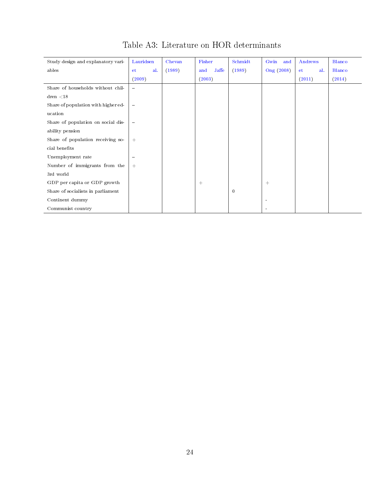| Study design and explanatory vari-  | Lauridsen                      | Chevan | Fisher          | Schmidt  | Gwin<br>and    | Andrews    | Blanco |
|-------------------------------------|--------------------------------|--------|-----------------|----------|----------------|------------|--------|
| ables                               | al.<br><b>et</b>               | (1989) | $J$ affe<br>and | (1989)   | Ong (2008)     | al.<br>et. | Blanco |
|                                     | (2009)                         |        | (2003)          |          |                | (2011)     | (2014) |
| Share of households without chil-   | $\overline{\phantom{m}}$       |        |                 |          |                |            |        |
| dren < 18                           |                                |        |                 |          |                |            |        |
| Share of population with higher ed- | $\qquad \qquad \longleftarrow$ |        |                 |          |                |            |        |
| ucation                             |                                |        |                 |          |                |            |        |
| Share of population on social dis-  | $\overline{\phantom{m}}$       |        |                 |          |                |            |        |
| ability pension                     |                                |        |                 |          |                |            |        |
| Share of population receiving so-   | $+$                            |        |                 |          |                |            |        |
| cial benefits                       |                                |        |                 |          |                |            |        |
| Unemployment rate                   | $\qquad \qquad \blacksquare$   |        |                 |          |                |            |        |
| Number of immigrants from the       | $+$                            |        |                 |          |                |            |        |
| 3rd world                           |                                |        |                 |          |                |            |        |
| GDP per capita or GDP growth        |                                |        | $^{+}$          |          | $+$            |            |        |
| Share of socialists in parliament   |                                |        |                 | $\bf{0}$ |                |            |        |
| Continent dummy                     |                                |        |                 |          | $\overline{a}$ |            |        |
| Communist country                   |                                |        |                 |          |                |            |        |

## Table A3: Literature on HOR determinants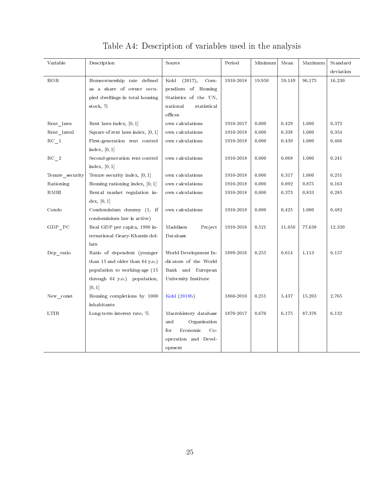<span id="page-29-0"></span>

| Variable                                 | Description                         | Source                    | Period    | Minimum | Mean   | Maximum | Standard  |
|------------------------------------------|-------------------------------------|---------------------------|-----------|---------|--------|---------|-----------|
|                                          |                                     |                           |           |         |        |         | deviation |
| HOR                                      | Homeownership rate defined          | (2017),<br>$Com-$<br>Kohl | 1910-2018 | 19.950  | 59.149 | 96.175  | 16.230    |
|                                          | as a share of owner occu-           | pendium of Housing        |           |         |        |         |           |
|                                          | pied dwellings in total housing     | Statistics of the UN,     |           |         |        |         |           |
|                                          | stock, %                            | national<br>statistical   |           |         |        |         |           |
|                                          |                                     | offices                   |           |         |        |         |           |
| Rent laws                                | Rent laws index, $[0, 1]$           | own calculations          | 1910-2017 | 0.000   | 0.429  | 1.000   | 0.372     |
| $\rm Rent\_laws2$                        | Square of rent laws index, $[0, 1]$ | own calculations          | 1910-2018 | 0.000   | 0.338  | 1.000   | 0.354     |
| $\rm RC\_1$                              | First-generation rent control       | own calculations          | 1910-2018 | 0.000   | 0.439  | 1.000   | 0.466     |
|                                          | index, $[0, 1]$                     |                           |           |         |        |         |           |
| $\rm RC-2$                               | Second-generation rent control      | own calculations          | 1910-2018 | 0.000   | 0.068  | 1.000   | 0.241     |
|                                          | index, $[0, 1]$                     |                           |           |         |        |         |           |
| Tenure security                          | Tenure security index, $[0, 1]$     | own calculations          | 1910-2018 | 0.000   | 0.317  | 1.000   | 0.251     |
| Rationing                                | Housing rationing index, $[0, 1]$   | own calculations          | 1910-2018 | 0.000   | 0.092  | 0.875   | 0.163     |
| RMRI                                     | Rental market regulation in-        | own calculations          | 1910-2018 | 0.000   | 0.373  | 0.833   | 0.285     |
|                                          | dex, [0,1]                          |                           |           |         |        |         |           |
| Condo                                    | Condominium dummy (1, if            | own calculations          | 1910-2018 | 0.000   | 0.425  | 1.000   | 0.482     |
|                                          | condominium law is active)          |                           |           |         |        |         |           |
| $\operatorname{GDP}$ $\operatorname{PC}$ | Real GDP per capita, 1990 in-       | Maddison<br>Project       | 1910-2016 | 0.521   | 11.050 | 77.638  | 12.320    |
|                                          | ternational Geary-Khamis dol-       | Database                  |           |         |        |         |           |
|                                          | lars                                |                           |           |         |        |         |           |
| Dep ratio                                | Ratio of dependent (younger         | World Development In-     | 1899-2016 | 0.255   | 0.614  | 1.113   | 0.157     |
|                                          | than 15 and older than 64 y.o.)     | dicators of the World     |           |         |        |         |           |
|                                          | population to working-age (15       | Bank and European         |           |         |        |         |           |
|                                          | through 64 y.o.) population,        | University Institute      |           |         |        |         |           |
|                                          | [0, 1]                              |                           |           |         |        |         |           |
| New const                                | Housing completions by 1000         | Kohl (2018b)              | 1860-2010 | 0.251   | 5.437  | 15.203  | 2.765     |
|                                          | inhabitants                         |                           |           |         |        |         |           |
| <b>LTIR</b>                              | Long-term interest rate, %          | Macrohistory database     | 1870-2017 | 0.670   | 6.175  | 87.376  | 6.132     |
|                                          |                                     | Organisation<br>and       |           |         |        |         |           |
|                                          |                                     | Economic<br>$Co-$<br>for  |           |         |        |         |           |
|                                          |                                     | operation and Devel-      |           |         |        |         |           |
|                                          |                                     | opment                    |           |         |        |         |           |

# Table A4: Description of variables used in the analysis